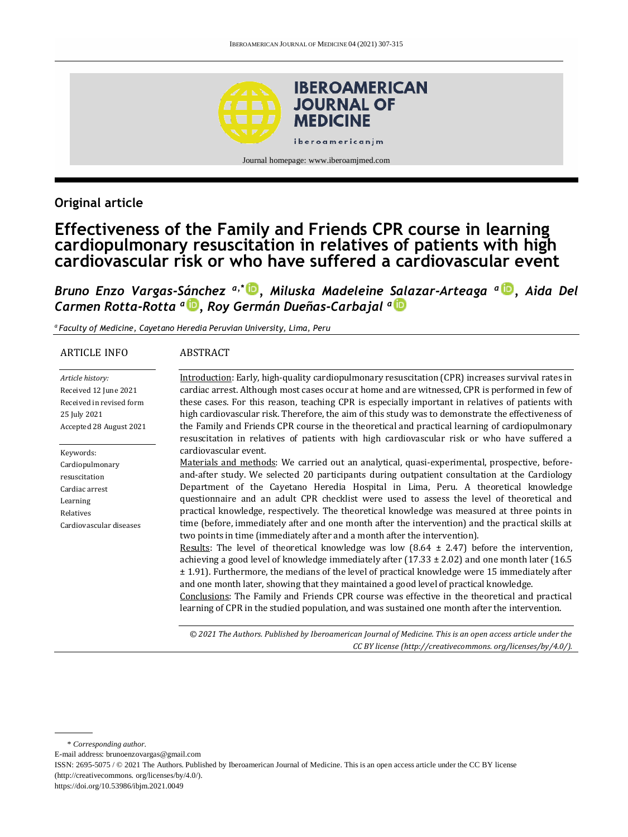

## **Original article**

# **Effectiveness of the Family and Friends CPR course in learning cardiopulmonary resuscitation in relatives of patients with high cardiovascular risk or who have suffered a cardiovascular event**

*Bruno Enzo Vargas-Sánchez a,\* , Miluska Madeleine Salazar-Arteaga <sup>a</sup> , Aida Del Carmen Rotta-Rotta <sup>a</sup> [,](http://orcid.org/0000-0002-6129-2890) Roy Germán Dueñas-Carbajal <sup>a</sup>*

*a Faculty of Medicine, Cayetano Heredia Peruvian University, Lima, Peru*

#### ARTICLE INFO

#### ABSTRACT

| Article history:<br>Received 12 June 2021<br>Received in revised form | Introduction: Early, high-quality cardiopulmonary resuscitation (CPR) increases survival rates in<br>cardiac arrest. Although most cases occur at home and are witnessed, CPR is performed in few of<br>these cases. For this reason, teaching CPR is especially important in relatives of patients with |
|-----------------------------------------------------------------------|----------------------------------------------------------------------------------------------------------------------------------------------------------------------------------------------------------------------------------------------------------------------------------------------------------|
| 25 July 2021                                                          | high cardiovascular risk. Therefore, the aim of this study was to demonstrate the effectiveness of                                                                                                                                                                                                       |
| Accepted 28 August 2021                                               | the Family and Friends CPR course in the theoretical and practical learning of cardiopulmonary<br>resuscitation in relatives of patients with high cardiovascular risk or who have suffered a                                                                                                            |
| Keywords:                                                             | cardiovascular event.                                                                                                                                                                                                                                                                                    |
| Cardiopulmonary                                                       | Materials and methods: We carried out an analytical, quasi-experimental, prospective, before-                                                                                                                                                                                                            |
| resuscitation                                                         | and-after study. We selected 20 participants during outpatient consultation at the Cardiology                                                                                                                                                                                                            |
| Cardiac arrest                                                        | Department of the Cayetano Heredia Hospital in Lima, Peru. A theoretical knowledge                                                                                                                                                                                                                       |
| Learning                                                              | questionnaire and an adult CPR checklist were used to assess the level of theoretical and                                                                                                                                                                                                                |
| Relatives                                                             | practical knowledge, respectively. The theoretical knowledge was measured at three points in                                                                                                                                                                                                             |
| Cardiovascular diseases                                               | time (before, immediately after and one month after the intervention) and the practical skills at<br>two points in time (immediately after and a month after the intervention).                                                                                                                          |
|                                                                       | <u>Results</u> : The level of theoretical knowledge was low $(8.64 \pm 2.47)$ before the intervention,<br>achieving a good level of knowledge immediately after $(17.33 \pm 2.02)$ and one month later $(16.5$                                                                                           |
|                                                                       | $\pm$ 1.91). Furthermore, the medians of the level of practical knowledge were 15 immediately after<br>and one month later, showing that they maintained a good level of practical knowledge.<br>Conclusions: The Family and Friends CPR course was effective in the theoretical and practical           |
|                                                                       | learning of CPR in the studied population, and was sustained one month after the intervention.                                                                                                                                                                                                           |

*© 2021 The Authors. Published by Iberoamerican Journal of Medicine. This is an open access article under the CC BY license (http:/[/creativecommons. org/licenses/by/4.0/\)](https://creativecommons.org/licenses/by/4.0/).*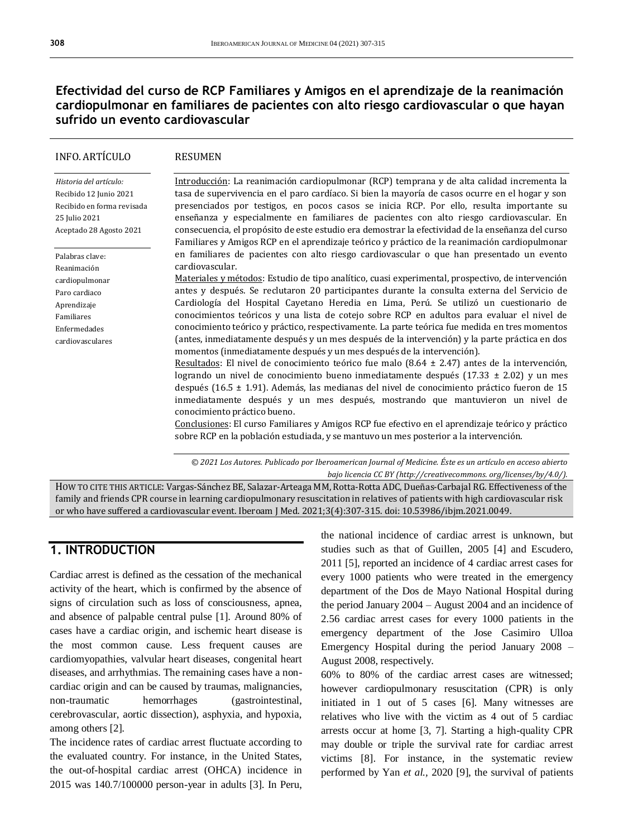## **Efectividad del curso de RCP Familiares y Amigos en el aprendizaje de la reanimación cardiopulmonar en familiares de pacientes con alto riesgo cardiovascular o que hayan sufrido un evento cardiovascular**

| <b>INFO. ARTÍCULO</b>      | <b>RESUMEN</b>                                                                                                                                                           |
|----------------------------|--------------------------------------------------------------------------------------------------------------------------------------------------------------------------|
| Historia del artículo:     | Introducción: La reanimación cardiopulmonar (RCP) temprana y de alta calidad incrementa la                                                                               |
| Recibido 12 Junio 2021     | tasa de supervivencia en el paro cardíaco. Si bien la mayoría de casos ocurre en el hogar y son                                                                          |
| Recibido en forma revisada | presenciados por testigos, en pocos casos se inicia RCP. Por ello, resulta importante su                                                                                 |
| 25 Julio 2021              | enseñanza y especialmente en familiares de pacientes con alto riesgo cardiovascular. En                                                                                  |
| Aceptado 28 Agosto 2021    | consecuencia, el propósito de este estudio era demostrar la efectividad de la enseñanza del curso                                                                        |
|                            | Familiares y Amigos RCP en el aprendizaje teórico y práctico de la reanimación cardiopulmonar                                                                            |
| Palabras clave:            | en familiares de pacientes con alto riesgo cardiovascular o que han presentado un evento                                                                                 |
| Reanimación                | cardiovascular.                                                                                                                                                          |
| cardiopulmonar             | Materiales y métodos: Estudio de tipo analítico, cuasi experimental, prospectivo, de intervención                                                                        |
| Paro cardiaco              | antes y después. Se reclutaron 20 participantes durante la consulta externa del Servicio de                                                                              |
| Aprendizaje                | Cardiología del Hospital Cayetano Heredia en Lima, Perú. Se utilizó un cuestionario de                                                                                   |
| Familiares                 | conocimientos teóricos y una lista de cotejo sobre RCP en adultos para evaluar el nivel de                                                                               |
| Enfermedades               | conocimiento teórico y práctico, respectivamente. La parte teórica fue medida en tres momentos                                                                           |
| cardiovasculares           | (antes, inmediatamente después y un mes después de la intervención) y la parte práctica en dos<br>momentos (inmediatamente después y un mes después de la intervención). |
|                            | Resultados: El nivel de conocimiento teórico fue malo (8.64 $\pm$ 2.47) antes de la intervención,                                                                        |
|                            | logrando un nivel de conocimiento bueno inmediatamente después (17.33 $\pm$ 2.02) y un mes                                                                               |
|                            | después (16.5 ± 1.91). Además, las medianas del nivel de conocimiento práctico fueron de 15                                                                              |
|                            |                                                                                                                                                                          |
|                            | inmediatamente después y un mes después, mostrando que mantuvieron un nivel de                                                                                           |
|                            | conocimiento práctico bueno.                                                                                                                                             |
|                            | Conclusiones: El curso Familiares y Amigos RCP fue efectivo en el aprendizaje teórico y práctico                                                                         |
|                            | sobre RCP en la población estudiada, y se mantuvo un mes posterior a la intervención.                                                                                    |

*© 2021 Los Autores. Publicado por Iberoamerican Journal of Medicine. Éste es un artículo en acceso abierto bajo licencia CC BY (http:/[/creativecommons. org/licenses/by/4.0/\)](https://creativecommons.org/licenses/by/4.0/).*

HOW TO CITE THIS ARTICLE: Vargas-Sánchez BE, Salazar-Arteaga MM, Rotta-Rotta ADC, Dueñas-Carbajal RG. Effectiveness of the family and friends CPR course in learning cardiopulmonary resuscitation in relatives of patients with high cardiovascular risk or who have suffered a cardiovascular event. Iberoam J Med. 2021;3(4):307-315. doi[: 10.53986/ibjm.2021.0049.](https://doi.org/10.53986/ibjm.2021.0049)

#### **1. INTRODUCTION**

Cardiac arrest is defined as the cessation of the mechanical activity of the heart, which is confirmed by the absence of signs of circulation such as loss of consciousness, apnea, and absence of palpable central pulse [1]. Around 80% of cases have a cardiac origin, and ischemic heart disease is the most common cause. Less frequent causes are cardiomyopathies, valvular heart diseases, congenital heart diseases, and arrhythmias. The remaining cases have a noncardiac origin and can be caused by traumas, malignancies, non-traumatic hemorrhages (gastrointestinal, cerebrovascular, aortic dissection), asphyxia, and hypoxia, among others [2].

The incidence rates of cardiac arrest fluctuate according to the evaluated country. For instance, in the United States, the out-of-hospital cardiac arrest (OHCA) incidence in 2015 was 140.7/100000 person-year in adults [3]. In Peru, the national incidence of cardiac arrest is unknown, but studies such as that of Guillen, 2005 [4] and Escudero, 2011 [5], reported an incidence of 4 cardiac arrest cases for every 1000 patients who were treated in the emergency department of the Dos de Mayo National Hospital during the period January 2004 – August 2004 and an incidence of 2.56 cardiac arrest cases for every 1000 patients in the emergency department of the Jose Casimiro Ulloa Emergency Hospital during the period January 2008 – August 2008, respectively.

60% to 80% of the cardiac arrest cases are witnessed; however cardiopulmonary resuscitation (CPR) is only initiated in 1 out of 5 cases [6]. Many witnesses are relatives who live with the victim as 4 out of 5 cardiac arrests occur at home [3, 7]. Starting a high-quality CPR may double or triple the survival rate for cardiac arrest victims [8]. For instance, in the systematic review performed by Yan *et al.,* 2020 [9], the survival of patients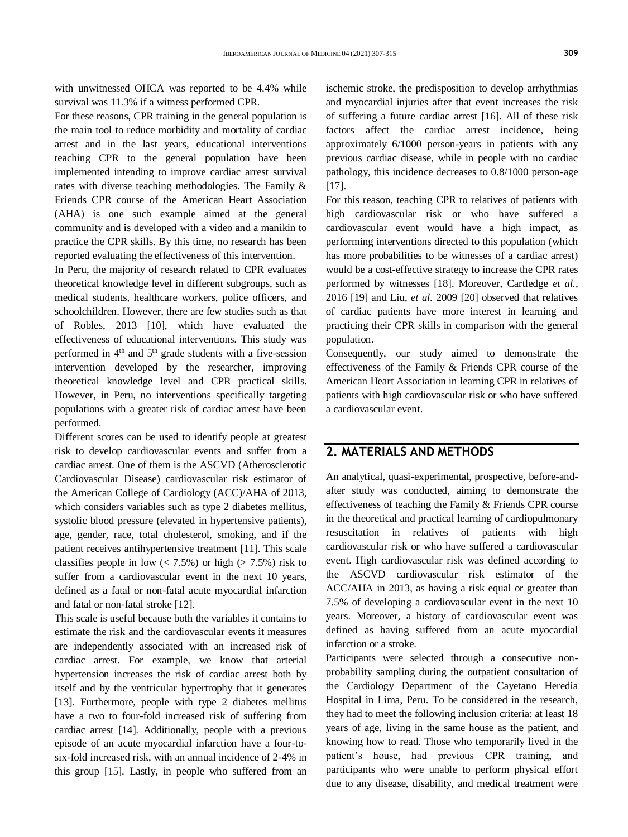with unwitnessed OHCA was reported to be 4.4% while survival was 11.3% if a witness performed CPR.

For these reasons, CPR training in the general population is the main tool to reduce morbidity and mortality of cardiac arrest and in the last years, educational interventions teaching CPR to the general population have been implemented intending to improve cardiac arrest survival rates with diverse teaching methodologies. The Family & Friends CPR course of the American Heart Association (AHA) is one such example aimed at the general community and is developed with a video and a manikin to practice the CPR skills. By this time, no research has been reported evaluating the effectiveness of this intervention.

In Peru, the majority of research related to CPR evaluates theoretical knowledge level in different subgroups, such as medical students, healthcare workers, police officers, and schoolchildren. However, there are few studies such as that of Robles, 2013 [10], which have evaluated the effectiveness of educational interventions. This study was performed in 4th and 5th grade students with a five-session intervention developed by the researcher, improving theoretical knowledge level and CPR practical skills. However, in Peru, no interventions specifically targeting populations with a greater risk of cardiac arrest have been performed.

Different scores can be used to identify people at greatest risk to develop cardiovascular events and suffer from a cardiac arrest. One of them is the ASCVD (Atherosclerotic Cardiovascular Disease) cardiovascular risk estimator of the American College of Cardiology (ACC)/AHA of 2013, which considers variables such as type 2 diabetes mellitus, systolic blood pressure (elevated in hypertensive patients), age, gender, race, total cholesterol, smoking, and if the patient receives antihypertensive treatment [11]. This scale classifies people in low  $(< 7.5\%)$  or high  $(> 7.5\%)$  risk to suffer from a cardiovascular event in the next 10 years, defined as a fatal or non-fatal acute myocardial infarction and fatal or non-fatal stroke [12].

This scale is useful because both the variables it contains to estimate the risk and the cardiovascular events it measures are independently associated with an increased risk of cardiac arrest. For example, we know that arterial hypertension increases the risk of cardiac arrest both by itself and by the ventricular hypertrophy that it generates [13]. Furthermore, people with type 2 diabetes mellitus have a two to four-fold increased risk of suffering from cardiac arrest [14]. Additionally, people with a previous episode of an acute myocardial infarction have a four-tosix-fold increased risk, with an annual incidence of 2-4% in this group [15]. Lastly, in people who suffered from an

ischemic stroke, the predisposition to develop arrhythmias and myocardial injuries after that event increases the risk of suffering a future cardiac arrest [16]. All of these risk factors affect the cardiac arrest incidence, being approximately 6/1000 person-years in patients with any previous cardiac disease, while in people with no cardiac pathology, this incidence decreases to 0.8/1000 person-age [17].

For this reason, teaching CPR to relatives of patients with high cardiovascular risk or who have suffered a cardiovascular event would have a high impact, as performing interventions directed to this population (which has more probabilities to be witnesses of a cardiac arrest) would be a cost-effective strategy to increase the CPR rates performed by witnesses [18]. Moreover, Cartledge *et al.,*  2016 [19] and Liu, *et al.* 2009 [20] observed that relatives of cardiac patients have more interest in learning and practicing their CPR skills in comparison with the general population.

Consequently, our study aimed to demonstrate the effectiveness of the Family & Friends CPR course of the American Heart Association in learning CPR in relatives of patients with high cardiovascular risk or who have suffered a cardiovascular event.

## **2. MATERIALS AND METHODS**

An analytical, quasi-experimental, prospective, before-andafter study was conducted, aiming to demonstrate the effectiveness of teaching the Family & Friends CPR course in the theoretical and practical learning of cardiopulmonary resuscitation in relatives of patients with high cardiovascular risk or who have suffered a cardiovascular event. High cardiovascular risk was defined according to the ASCVD cardiovascular risk estimator of the ACC/AHA in 2013, as having a risk equal or greater than 7.5% of developing a cardiovascular event in the next 10 years. Moreover, a history of cardiovascular event was defined as having suffered from an acute myocardial infarction or a stroke.

Participants were selected through a consecutive nonprobability sampling during the outpatient consultation of the Cardiology Department of the Cayetano Heredia Hospital in Lima, Peru. To be considered in the research, they had to meet the following inclusion criteria: at least 18 years of age, living in the same house as the patient, and knowing how to read. Those who temporarily lived in the patient's house, had previous CPR training, and participants who were unable to perform physical effort due to any disease, disability, and medical treatment were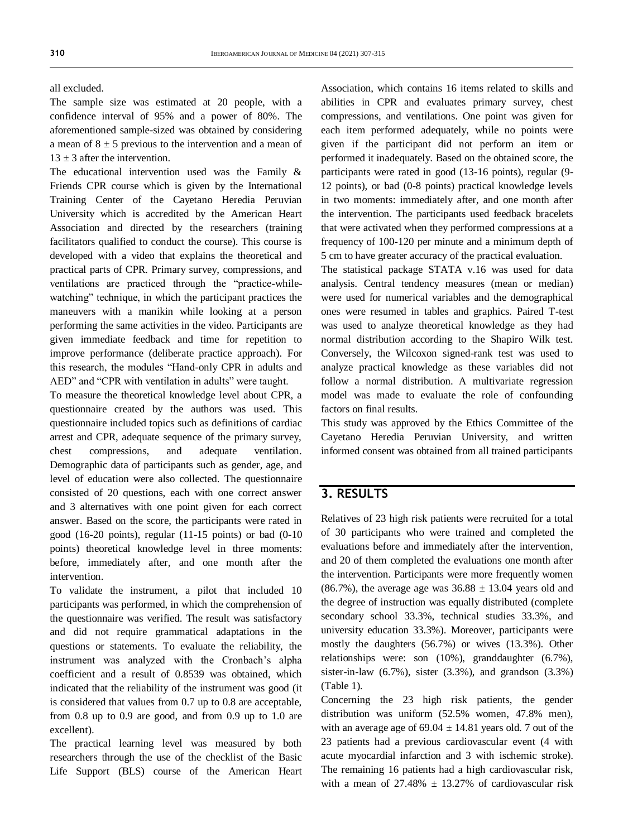all excluded.

The sample size was estimated at 20 people, with a confidence interval of 95% and a power of 80%. The aforementioned sample-sized was obtained by considering a mean of  $8 \pm 5$  previous to the intervention and a mean of  $13 + 3$  after the intervention.

The educational intervention used was the Family & Friends CPR course which is given by the International Training Center of the Cayetano Heredia Peruvian University which is accredited by the American Heart Association and directed by the researchers (training facilitators qualified to conduct the course). This course is developed with a video that explains the theoretical and practical parts of CPR. Primary survey, compressions, and ventilations are practiced through the "practice-whilewatching" technique, in which the participant practices the maneuvers with a manikin while looking at a person performing the same activities in the video. Participants are given immediate feedback and time for repetition to improve performance (deliberate practice approach). For this research, the modules "Hand-only CPR in adults and AED" and "CPR with ventilation in adults" were taught.

To measure the theoretical knowledge level about CPR, a questionnaire created by the authors was used. This questionnaire included topics such as definitions of cardiac arrest and CPR, adequate sequence of the primary survey, chest compressions, and adequate ventilation. Demographic data of participants such as gender, age, and level of education were also collected. The questionnaire consisted of 20 questions, each with one correct answer and 3 alternatives with one point given for each correct answer. Based on the score, the participants were rated in good (16-20 points), regular (11-15 points) or bad (0-10 points) theoretical knowledge level in three moments: before, immediately after, and one month after the intervention.

To validate the instrument, a pilot that included 10 participants was performed, in which the comprehension of the questionnaire was verified. The result was satisfactory and did not require grammatical adaptations in the questions or statements. To evaluate the reliability, the instrument was analyzed with the Cronbach's alpha coefficient and a result of 0.8539 was obtained, which indicated that the reliability of the instrument was good (it is considered that values from 0.7 up to 0.8 are acceptable, from 0.8 up to 0.9 are good, and from 0.9 up to 1.0 are excellent).

The practical learning level was measured by both researchers through the use of the checklist of the Basic Life Support (BLS) course of the American Heart Association, which contains 16 items related to skills and abilities in CPR and evaluates primary survey, chest compressions, and ventilations. One point was given for each item performed adequately, while no points were given if the participant did not perform an item or performed it inadequately. Based on the obtained score, the participants were rated in good (13-16 points), regular (9- 12 points), or bad (0-8 points) practical knowledge levels in two moments: immediately after, and one month after the intervention. The participants used feedback bracelets that were activated when they performed compressions at a frequency of 100-120 per minute and a minimum depth of 5 cm to have greater accuracy of the practical evaluation.

The statistical package STATA v.16 was used for data analysis. Central tendency measures (mean or median) were used for numerical variables and the demographical ones were resumed in tables and graphics. Paired T-test was used to analyze theoretical knowledge as they had normal distribution according to the Shapiro Wilk test. Conversely, the Wilcoxon signed-rank test was used to analyze practical knowledge as these variables did not follow a normal distribution. A multivariate regression model was made to evaluate the role of confounding factors on final results.

This study was approved by the Ethics Committee of the Cayetano Heredia Peruvian University, and written informed consent was obtained from all trained participants

## **3. RESULTS**

Relatives of 23 high risk patients were recruited for a total of 30 participants who were trained and completed the evaluations before and immediately after the intervention, and 20 of them completed the evaluations one month after the intervention. Participants were more frequently women (86.7%), the average age was  $36.88 \pm 13.04$  years old and the degree of instruction was equally distributed (complete secondary school 33.3%, technical studies 33.3%, and university education 33.3%). Moreover, participants were mostly the daughters (56.7%) or wives (13.3%). Other relationships were: son (10%), granddaughter (6.7%), sister-in-law  $(6.7\%)$ , sister  $(3.3\%)$ , and grandson  $(3.3\%)$ (Table 1).

Concerning the 23 high risk patients, the gender distribution was uniform (52.5% women, 47.8% men), with an average age of  $69.04 \pm 14.81$  years old. 7 out of the 23 patients had a previous cardiovascular event (4 with acute myocardial infarction and 3 with ischemic stroke). The remaining 16 patients had a high cardiovascular risk, with a mean of  $27.48\% \pm 13.27\%$  of cardiovascular risk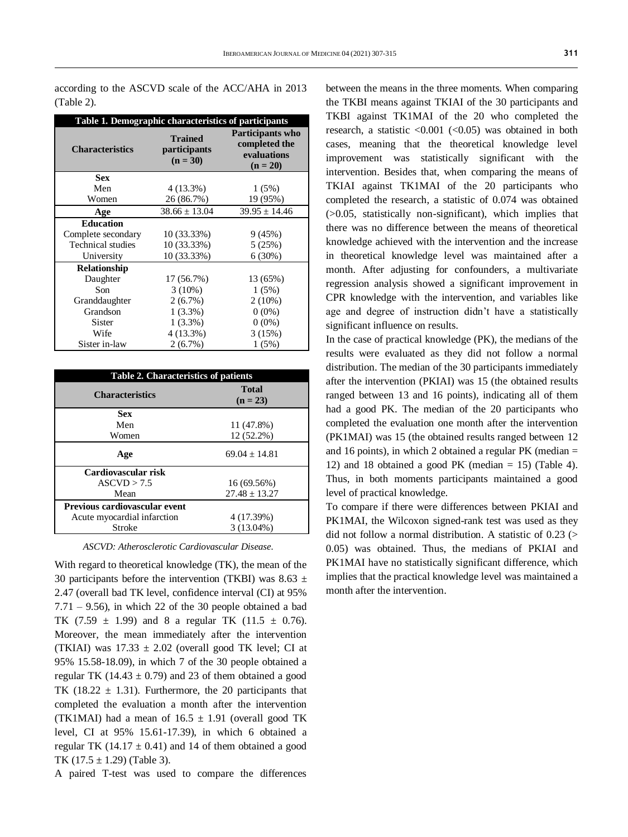according to the ASCVD scale of the ACC/AHA in 2013 (Table 2).

| Table 1. Demographic characteristics of participants |                                                     |                                                                       |  |  |  |
|------------------------------------------------------|-----------------------------------------------------|-----------------------------------------------------------------------|--|--|--|
| <b>Characteristics</b>                               | <b>Trained</b><br><i>participants</i><br>$(n = 30)$ | <b>Participants who</b><br>completed the<br>evaluations<br>$(n = 20)$ |  |  |  |
| <b>Sex</b>                                           |                                                     |                                                                       |  |  |  |
| Men                                                  | 4 (13.3%)                                           | 1(5%)                                                                 |  |  |  |
| Women                                                | 26 (86.7%)                                          | 19 (95%)                                                              |  |  |  |
| Age                                                  | $38.66 \pm 13.04$                                   | $39.95 \pm 14.46$                                                     |  |  |  |
| <b>Education</b>                                     |                                                     |                                                                       |  |  |  |
| Complete secondary                                   | 10 (33.33%)                                         | 9(45%)                                                                |  |  |  |
| <b>Technical studies</b>                             | 10 (33.33%)                                         | 5(25%)                                                                |  |  |  |
| University                                           | 10 (33.33%)                                         | 6(30%)                                                                |  |  |  |
| <b>Relationship</b>                                  |                                                     |                                                                       |  |  |  |
| Daughter                                             | 17 (56.7%)                                          | 13 (65%)                                                              |  |  |  |
| Son                                                  | $3(10\%)$                                           | 1(5%)                                                                 |  |  |  |
| Granddaughter                                        | $2(6.7\%)$                                          | $2(10\%)$                                                             |  |  |  |
| Grandson                                             | $1(3.3\%)$                                          | $0(0\%)$                                                              |  |  |  |
| <b>Sister</b>                                        | $1(3.3\%)$                                          | $0(0\%)$                                                              |  |  |  |
| Wife                                                 | 4 (13.3%)                                           | 3(15%)                                                                |  |  |  |
| Sister in-law                                        | 2(6.7%)                                             | 1(5%)                                                                 |  |  |  |

| <b>Table 2. Characteristics of patients</b> |                            |  |  |  |
|---------------------------------------------|----------------------------|--|--|--|
| <b>Characteristics</b>                      | <b>Total</b><br>$(n = 23)$ |  |  |  |
| <b>Sex</b>                                  |                            |  |  |  |
| Men                                         | 11 (47.8%)                 |  |  |  |
| Women                                       | 12 (52.2%)                 |  |  |  |
| Age                                         | $69.04 + 14.81$            |  |  |  |
| Cardiovascular risk                         |                            |  |  |  |
| ASCVD > 7.5                                 | 16 (69.56%)                |  |  |  |
| Mean                                        | $27.48 + 13.27$            |  |  |  |
| Previous cardiovascular event               |                            |  |  |  |
| Acute myocardial infarction                 | 4 (17.39%)                 |  |  |  |
| Stroke                                      | $3(13.04\%)$               |  |  |  |

*ASCVD: Atherosclerotic Cardiovascular Disease.*

With regard to theoretical knowledge (TK), the mean of the 30 participants before the intervention (TKBI) was 8.63  $\pm$ 2.47 (overall bad TK level, confidence interval (CI) at 95%  $7.71 - 9.56$ , in which 22 of the 30 people obtained a bad TK  $(7.59 \pm 1.99)$  and 8 a regular TK  $(11.5 \pm 0.76)$ . Moreover, the mean immediately after the intervention (TKIAI) was  $17.33 \pm 2.02$  (overall good TK level; CI at 95% 15.58-18.09), in which 7 of the 30 people obtained a regular TK (14.43  $\pm$  0.79) and 23 of them obtained a good TK (18.22  $\pm$  1.31). Furthermore, the 20 participants that completed the evaluation a month after the intervention (TK1MAI) had a mean of  $16.5 \pm 1.91$  (overall good TK level, CI at 95% 15.61-17.39), in which 6 obtained a regular TK (14.17  $\pm$  0.41) and 14 of them obtained a good TK  $(17.5 \pm 1.29)$  (Table 3).

A paired T-test was used to compare the differences

between the means in the three moments. When comparing the TKBI means against TKIAI of the 30 participants and TKBI against TK1MAI of the 20 who completed the research, a statistic  $\langle 0.001 \rangle$  ( $\langle 0.05 \rangle$ ) was obtained in both cases, meaning that the theoretical knowledge level improvement was statistically significant with the intervention. Besides that, when comparing the means of TKIAI against TK1MAI of the 20 participants who completed the research, a statistic of 0.074 was obtained (>0.05, statistically non-significant), which implies that there was no difference between the means of theoretical knowledge achieved with the intervention and the increase in theoretical knowledge level was maintained after a month. After adjusting for confounders, a multivariate regression analysis showed a significant improvement in CPR knowledge with the intervention, and variables like age and degree of instruction didn't have a statistically significant influence on results.

In the case of practical knowledge (PK), the medians of the results were evaluated as they did not follow a normal distribution. The median of the 30 participants immediately after the intervention (PKIAI) was 15 (the obtained results ranged between 13 and 16 points), indicating all of them had a good PK. The median of the 20 participants who completed the evaluation one month after the intervention (PK1MAI) was 15 (the obtained results ranged between 12 and 16 points), in which 2 obtained a regular PK (median = 12) and 18 obtained a good PK (median  $= 15$ ) (Table 4). Thus, in both moments participants maintained a good level of practical knowledge.

To compare if there were differences between PKIAI and PK1MAI, the Wilcoxon signed-rank test was used as they did not follow a normal distribution. A statistic of  $0.23$  (> 0.05) was obtained. Thus, the medians of PKIAI and PK1MAI have no statistically significant difference, which implies that the practical knowledge level was maintained a month after the intervention.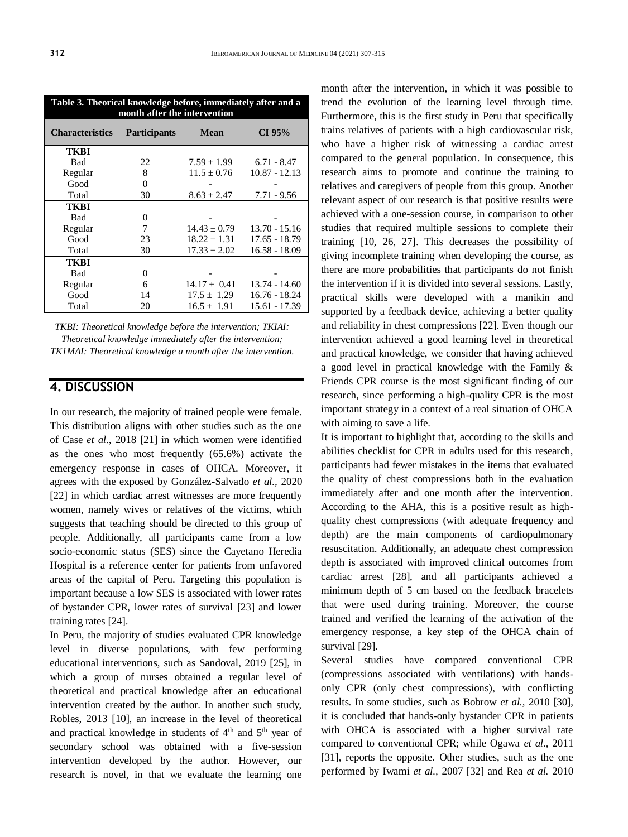| month after the intervention |                     |                  |                 |  |  |  |
|------------------------------|---------------------|------------------|-----------------|--|--|--|
| <b>Characteristics</b>       | <b>Participants</b> | <b>Mean</b>      | CI 95%          |  |  |  |
| <b>TKBI</b>                  |                     |                  |                 |  |  |  |
| <b>Bad</b>                   | 22                  | $7.59 \pm 1.99$  | $6.71 - 8.47$   |  |  |  |
| Regular                      | 8                   | $11.5 \pm 0.76$  | $10.87 - 12.13$ |  |  |  |
| Good                         | $\overline{0}$      |                  |                 |  |  |  |
| Total                        | 30                  | $8.63 \pm 2.47$  | $7.71 - 9.56$   |  |  |  |
| <b>TKBI</b>                  |                     |                  |                 |  |  |  |
| <b>Bad</b>                   | 0                   |                  |                 |  |  |  |
| Regular                      | 7                   | $14.43 \pm 0.79$ | $13.70 - 15.16$ |  |  |  |
| Good                         | 23                  | $18.22 \pm 1.31$ | $17.65 - 18.79$ |  |  |  |
| Total                        | 30                  | $17.33 \pm 2.02$ | $16.58 - 18.09$ |  |  |  |
| <b>TKBI</b>                  |                     |                  |                 |  |  |  |
| <b>Bad</b>                   | 0                   |                  |                 |  |  |  |
| Regular                      | 6                   | $14.17 \pm 0.41$ | $13.74 - 14.60$ |  |  |  |
| Good                         | 14                  | $17.5 \pm 1.29$  | $16.76 - 18.24$ |  |  |  |
| Total                        | 20                  | $16.5 \pm 1.91$  | 15.61 - 17.39   |  |  |  |

*TKBI: Theoretical knowledge before the intervention; TKIAI: Theoretical knowledge immediately after the intervention; TK1MAI: Theoretical knowledge a month after the intervention.*

### **4. DISCUSSION**

In our research, the majority of trained people were female. This distribution aligns with other studies such as the one of Case *et al.,* 2018 [21] in which women were identified as the ones who most frequently (65.6%) activate the emergency response in cases of OHCA. Moreover, it agrees with the exposed by González-Salvado *et al.,* 2020 [22] in which cardiac arrest witnesses are more frequently women, namely wives or relatives of the victims, which suggests that teaching should be directed to this group of people. Additionally, all participants came from a low socio-economic status (SES) since the Cayetano Heredia Hospital is a reference center for patients from unfavored areas of the capital of Peru. Targeting this population is important because a low SES is associated with lower rates of bystander CPR, lower rates of survival [23] and lower training rates [24].

In Peru, the majority of studies evaluated CPR knowledge level in diverse populations, with few performing educational interventions, such as Sandoval, 2019 [25], in which a group of nurses obtained a regular level of theoretical and practical knowledge after an educational intervention created by the author. In another such study, Robles, 2013 [10], an increase in the level of theoretical and practical knowledge in students of  $4<sup>th</sup>$  and  $5<sup>th</sup>$  year of secondary school was obtained with a five-session intervention developed by the author. However, our research is novel, in that we evaluate the learning one month after the intervention, in which it was possible to trend the evolution of the learning level through time. Furthermore, this is the first study in Peru that specifically trains relatives of patients with a high cardiovascular risk, who have a higher risk of witnessing a cardiac arrest compared to the general population. In consequence, this research aims to promote and continue the training to relatives and caregivers of people from this group. Another relevant aspect of our research is that positive results were achieved with a one-session course, in comparison to other studies that required multiple sessions to complete their training [10, 26, 27]. This decreases the possibility of giving incomplete training when developing the course, as there are more probabilities that participants do not finish the intervention if it is divided into several sessions. Lastly, practical skills were developed with a manikin and supported by a feedback device, achieving a better quality and reliability in chest compressions [22]. Even though our intervention achieved a good learning level in theoretical and practical knowledge, we consider that having achieved a good level in practical knowledge with the Family & Friends CPR course is the most significant finding of our research, since performing a high-quality CPR is the most important strategy in a context of a real situation of OHCA with aiming to save a life.

It is important to highlight that, according to the skills and abilities checklist for CPR in adults used for this research, participants had fewer mistakes in the items that evaluated the quality of chest compressions both in the evaluation immediately after and one month after the intervention. According to the AHA, this is a positive result as highquality chest compressions (with adequate frequency and depth) are the main components of cardiopulmonary resuscitation. Additionally, an adequate chest compression depth is associated with improved clinical outcomes from cardiac arrest [28], and all participants achieved a minimum depth of 5 cm based on the feedback bracelets that were used during training. Moreover, the course trained and verified the learning of the activation of the emergency response, a key step of the OHCA chain of survival [29].

Several studies have compared conventional CPR (compressions associated with ventilations) with handsonly CPR (only chest compressions), with conflicting results. In some studies, such as Bobrow *et al.,* 2010 [30], it is concluded that hands-only bystander CPR in patients with OHCA is associated with a higher survival rate compared to conventional CPR; while Ogawa *et al.,* 2011 [31], reports the opposite. Other studies, such as the one performed by Iwami *et al.,* 2007 [32] and Rea *et al.* 2010

**Table 3. Theorical knowledge before, immediately after and a**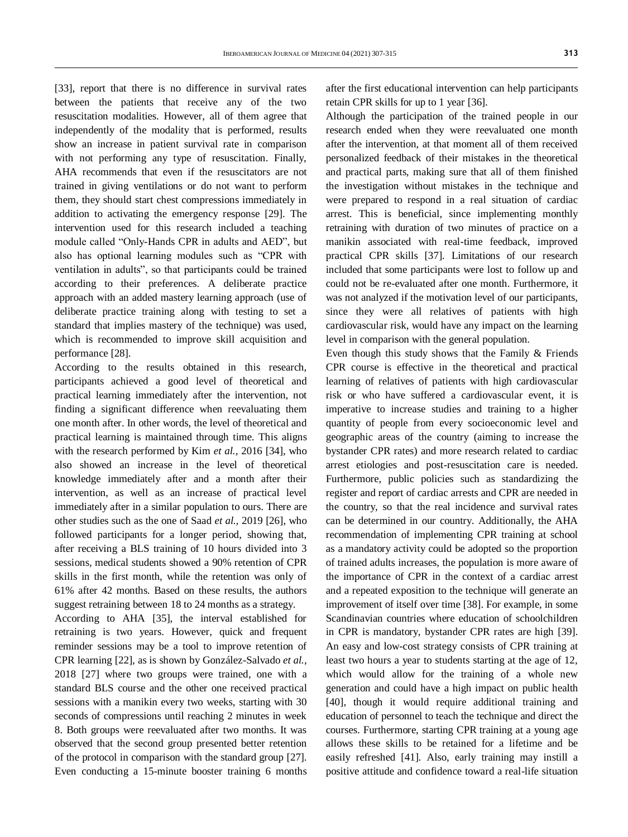[33], report that there is no difference in survival rates between the patients that receive any of the two resuscitation modalities. However, all of them agree that independently of the modality that is performed, results show an increase in patient survival rate in comparison with not performing any type of resuscitation. Finally, AHA recommends that even if the resuscitators are not trained in giving ventilations or do not want to perform them, they should start chest compressions immediately in addition to activating the emergency response [29]. The intervention used for this research included a teaching module called "Only-Hands CPR in adults and AED", but also has optional learning modules such as "CPR with ventilation in adults", so that participants could be trained according to their preferences. A deliberate practice approach with an added mastery learning approach (use of deliberate practice training along with testing to set a standard that implies mastery of the technique) was used, which is recommended to improve skill acquisition and performance [28].

According to the results obtained in this research, participants achieved a good level of theoretical and practical learning immediately after the intervention, not finding a significant difference when reevaluating them one month after. In other words, the level of theoretical and practical learning is maintained through time. This aligns with the research performed by Kim *et al.,* 2016 [34], who also showed an increase in the level of theoretical knowledge immediately after and a month after their intervention, as well as an increase of practical level immediately after in a similar population to ours. There are other studies such as the one of Saad *et al.,* 2019 [26], who followed participants for a longer period, showing that, after receiving a BLS training of 10 hours divided into 3 sessions, medical students showed a 90% retention of CPR skills in the first month, while the retention was only of 61% after 42 months. Based on these results, the authors suggest retraining between 18 to 24 months as a strategy.

According to AHA [35], the interval established for retraining is two years. However, quick and frequent reminder sessions may be a tool to improve retention of CPR learning [22], as is shown by González-Salvado *et al.,*  2018 [27] where two groups were trained, one with a standard BLS course and the other one received practical sessions with a manikin every two weeks, starting with 30 seconds of compressions until reaching 2 minutes in week 8. Both groups were reevaluated after two months. It was observed that the second group presented better retention of the protocol in comparison with the standard group [27]. Even conducting a 15-minute booster training 6 months

after the first educational intervention can help participants retain CPR skills for up to 1 year [36].

Although the participation of the trained people in our research ended when they were reevaluated one month after the intervention, at that moment all of them received personalized feedback of their mistakes in the theoretical and practical parts, making sure that all of them finished the investigation without mistakes in the technique and were prepared to respond in a real situation of cardiac arrest. This is beneficial, since implementing monthly retraining with duration of two minutes of practice on a manikin associated with real-time feedback, improved practical CPR skills [37]. Limitations of our research included that some participants were lost to follow up and could not be re-evaluated after one month. Furthermore, it was not analyzed if the motivation level of our participants, since they were all relatives of patients with high cardiovascular risk, would have any impact on the learning level in comparison with the general population.

Even though this study shows that the Family & Friends CPR course is effective in the theoretical and practical learning of relatives of patients with high cardiovascular risk or who have suffered a cardiovascular event, it is imperative to increase studies and training to a higher quantity of people from every socioeconomic level and geographic areas of the country (aiming to increase the bystander CPR rates) and more research related to cardiac arrest etiologies and post-resuscitation care is needed. Furthermore, public policies such as standardizing the register and report of cardiac arrests and CPR are needed in the country, so that the real incidence and survival rates can be determined in our country. Additionally, the AHA recommendation of implementing CPR training at school as a mandatory activity could be adopted so the proportion of trained adults increases, the population is more aware of the importance of CPR in the context of a cardiac arrest and a repeated exposition to the technique will generate an improvement of itself over time [38]. For example, in some Scandinavian countries where education of schoolchildren in CPR is mandatory, bystander CPR rates are high [39]. An easy and low-cost strategy consists of CPR training at least two hours a year to students starting at the age of 12, which would allow for the training of a whole new generation and could have a high impact on public health [40], though it would require additional training and education of personnel to teach the technique and direct the courses. Furthermore, starting CPR training at a young age allows these skills to be retained for a lifetime and be easily refreshed [41]. Also, early training may instill a positive attitude and confidence toward a real-life situation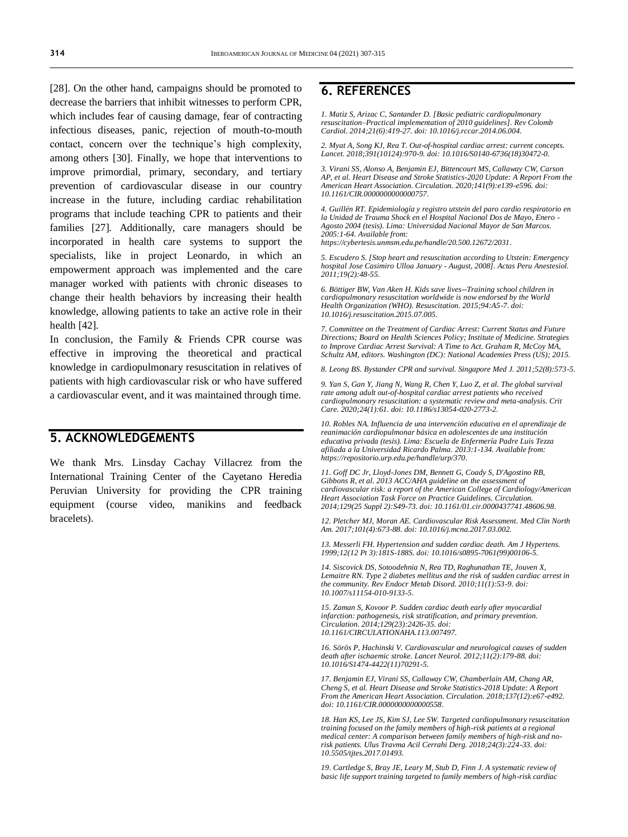[28]. On the other hand, campaigns should be promoted to decrease the barriers that inhibit witnesses to perform CPR, which includes fear of causing damage, fear of contracting infectious diseases, panic, rejection of mouth-to-mouth contact, concern over the technique's high complexity, among others [30]. Finally, we hope that interventions to improve primordial, primary, secondary, and tertiary prevention of cardiovascular disease in our country increase in the future, including cardiac rehabilitation programs that include teaching CPR to patients and their families [27]. Additionally, care managers should be incorporated in health care systems to support the specialists, like in project Leonardo, in which an empowerment approach was implemented and the care manager worked with patients with chronic diseases to change their health behaviors by increasing their health knowledge, allowing patients to take an active role in their health [42].

In conclusion, the Family & Friends CPR course was effective in improving the theoretical and practical knowledge in cardiopulmonary resuscitation in relatives of patients with high cardiovascular risk or who have suffered a cardiovascular event, and it was maintained through time.

### **5. ACKNOWLEDGEMENTS**

We thank Mrs. Linsday Cachay Villacrez from the International Training Center of the Cayetano Heredia Peruvian University for providing the CPR training equipment (course video, manikins and feedback bracelets).

### **6. REFERENCES**

*1. Matiz S, Arizac C, Santander D. [Basic pediatric cardiopulmonary resuscitation–Practical implementation of 2010 guidelines]. Rev Colomb Cardiol. 2014;21(6):419-27. doi[: 10.1016/j.rccar.2014.06.004.](https://doi.org/10.1016/j.rccar.2014.06.004)*

*2. Myat A, Song KJ, Rea T. Out-of-hospital cardiac arrest: current concepts. Lancet. 2018;391(10124):970-9. doi[: 10.1016/S0140-6736\(18\)30472-0.](https://doi.org/10.1016/s0140-6736(18)30472-0)*

*3. Virani SS, Alonso A, Benjamin EJ, Bittencourt MS, Callaway CW, Carson AP, et al. Heart Disease and Stroke Statistics-2020 Update: A Report From the American Heart Association. Circulation. 2020;141(9):e139-e596. doi: [10.1161/CIR.0000000000000757.](https://doi.org/10.1161/cir.0000000000000757)*

*4. Guillén RT. Epidemiología y registro utstein del paro cardio respiratorio en la Unidad de Trauma Shock en el Hospital Nacional Dos de Mayo, Enero - Agosto 2004 (tesis). Lima: Universidad Nacional Mayor de San Marcos. 2005:1-64. Available from: [https://cybertesis.unmsm.edu.pe/handle/20.500.12672/2031.](https://cybertesis.unmsm.edu.pe/handle/20.500.12672/2031)*

*5. Escudero S. [Stop heart and resuscitation according to Utstein: Emergency hospital Jose Casimiro Ulloa January - August, 2008]. Actas Peru Anestesiol. 2011;19(2):48-55.*

*6. Böttiger BW, Van Aken H. Kids save lives--Training school children in cardiopulmonary resuscitation worldwide is now endorsed by the World Health Organization (WHO). Resuscitation. 2015;94:A5-7. doi: [10.1016/j.resuscitation.2015.07.005.](https://doi.org/10.1016/j.resuscitation.2015.07.005)*

*7. Committee on the Treatment of Cardiac Arrest: Current Status and Future Directions; Board on Health Sciences Policy; Institute of Medicine. Strategies to Improve Cardiac Arrest Survival: A Time to Act. Graham R, McCoy MA, Schultz AM, editors. Washington (DC): National Academies Press (US); 2015.*

*8. Leong BS. Bystander CPR and survival. Singapore Med J. 2011;52(8):573-5.*

*9. Yan S, Gan Y, Jiang N, Wang R, Chen Y, Luo Z, et al. The global survival rate among adult out-of-hospital cardiac arrest patients who received cardiopulmonary resuscitation: a systematic review and meta-analysis. Crit Care. 2020;24(1):61. doi[: 10.1186/s13054-020-2773-2.](https://doi.org/10.1186/s13054-020-2773-2)*

*10. Robles NA. Influencia de una intervención educativa en el aprendizaje de reanimación cardiopulmonar básica en adolescentes de una institución educativa privada (tesis). Lima: Escuela de Enfermería Padre Luis Tezza afiliada a la Universidad Ricardo Palma. 2013:1-134. Available from: [https://repositorio.urp.edu.pe/handle/urp/370.](https://repositorio.urp.edu.pe/handle/urp/370)*

*11. Goff DC Jr, Lloyd-Jones DM, Bennett G, Coady S, D'Agostino RB, Gibbons R, et al. 2013 ACC/AHA guideline on the assessment of cardiovascular risk: a report of the American College of Cardiology/American Heart Association Task Force on Practice Guidelines. Circulation. 2014;129(25 Suppl 2):S49-73. doi[: 10.1161/01.cir.0000437741.48606.98.](https://doi.org/10.1161/01.cir.0000437741.48606.98)*

*12. Pletcher MJ, Moran AE. Cardiovascular Risk Assessment. Med Clin North Am. 2017;101(4):673-88. doi[: 10.1016/j.mcna.2017.03.002.](https://doi.org/10.1016/j.mcna.2017.03.002)*

*13. Messerli FH. Hypertension and sudden cardiac death. Am J Hypertens. 1999;12(12 Pt 3):181S-188S. doi[: 10.1016/s0895-7061\(99\)00106-5.](https://doi.org/10.1016/s0895-7061(99)00106-5)*

*14. Siscovick DS, Sotoodehnia N, Rea TD, Raghunathan TE, Jouven X, Lemaitre RN. Type 2 diabetes mellitus and the risk of sudden cardiac arrest in the community. Rev Endocr Metab Disord. 2010;11(1):53-9. doi: [10.1007/s11154-010-9133-5.](https://doi.org/10.1007/s11154-010-9133-5)*

*15. Zaman S, Kovoor P. Sudden cardiac death early after myocardial infarction: pathogenesis, risk stratification, and primary prevention. Circulation. 2014;129(23):2426-35. doi: [10.1161/CIRCULATIONAHA.113.007497.](https://doi.org/10.1161/circulationaha.113.007497)*

*16. Sörös P, Hachinski V. Cardiovascular and neurological causes of sudden death after ischaemic stroke. Lancet Neurol. 2012;11(2):179-88. doi: [10.1016/S1474-4422\(11\)70291-5.](https://doi.org/10.1016/s1474-4422(11)70291-5)*

*17. Benjamin EJ, Virani SS, Callaway CW, Chamberlain AM, Chang AR, Cheng S, et al. Heart Disease and Stroke Statistics-2018 Update: A Report From the American Heart Association. Circulation. 2018;137(12):e67-e492. doi[: 10.1161/CIR.0000000000000558.](https://doi.org/10.1161/cir.0000000000000558)*

*18. Han KS, Lee JS, Kim SJ, Lee SW. Targeted cardiopulmonary resuscitation training focused on the family members of high-risk patients at a regional medical center: A comparison between family members of high-risk and norisk patients. Ulus Travma Acil Cerrahi Derg. 2018;24(3):224-33. doi: [10.5505/tjtes.2017.01493.](https://doi.org/10.5505/tjtes.2017.01493)*

*19. Cartledge S, Bray JE, Leary M, Stub D, Finn J. A systematic review of basic life support training targeted to family members of high-risk cardiac*